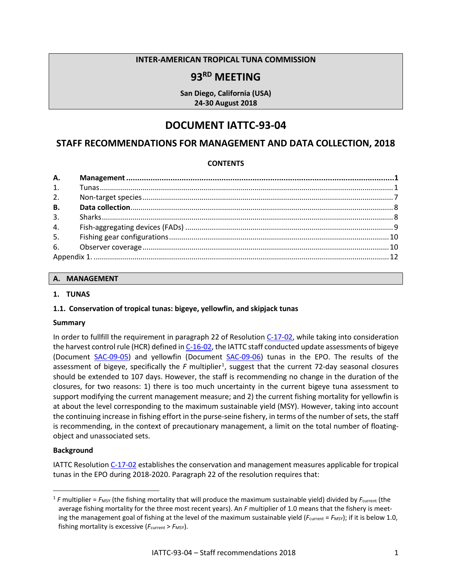## **INTER-AMERICAN TROPICAL TUNA COMMISSION**

# **93RD MEETING**

**San Diego, California (USA) 24-30 August 2018**

# **DOCUMENT IATTC-93-04**

## **STAFF RECOMMENDATIONS FOR MANAGEMENT AND DATA COLLECTION, 2018**

#### **CONTENTS**

| 2.        |  |  |  |
|-----------|--|--|--|
| <b>B.</b> |  |  |  |
| 3.        |  |  |  |
| 4.        |  |  |  |
|           |  |  |  |
|           |  |  |  |
|           |  |  |  |
|           |  |  |  |

#### <span id="page-0-0"></span>**A. MANAGEMENT**

#### <span id="page-0-1"></span>**1. TUNAS**

#### **1.1. Conservation of tropical tunas: bigeye, yellowfin, and skipjack tunas**

#### **Summary**

In order to fullfill the requirement in paragraph 22 of Resolutio[n C-17-02,](http://www.iattc.org/PDFFiles/Resolutions/_English/C-17-02-Tuna-conservation-in-the-EPO-2018-2020-and-amendment-to-Res.-C-17-01.pdf) while taking into consideration the harvest control rule (HCR) defined in [C-16-02,](https://www.iattc.org/PDFFiles/Resolutions/_English/C-16-02-Harvest-control-rules.pdf) the IATTC staff conducted update assessments of bigeye (Document [SAC-09-05\)](https://www.iattc.org/Meetings/Meetings2018/SAC-09/PDFs/Docs/_English/SAC-09-05-EN_Bigeye-tuna-assessment-for-2017.pdf) and yellowfin (Document [SAC-09-06\)](https://www.iattc.org/Meetings/Meetings2018/SAC-09/PDFs/Docs/_English/SAC-09-06-EN_Yellowfin-tuna-assessment-for-2017.pdf) tunas in the EPO. The results of the assessment of bigeye, specifically the F multiplier<sup>[1](#page-0-2)</sup>, suggest that the current 72-day seasonal closures should be extended to 107 days. However, the staff is recommending no change in the duration of the closures, for two reasons: 1) there is too much uncertainty in the current bigeye tuna assessment to support modifying the current management measure; and 2) the current fishing mortality for yellowfin is at about the level corresponding to the maximum sustainable yield (MSY). However, taking into account the continuing increase in fishing effort in the purse-seine fishery, in terms of the number of sets, the staff is recommending, in the context of precautionary management, a limit on the total number of floatingobject and unassociated sets.

#### **Background**

 $\overline{a}$ 

IATTC Resolution [C-17-02](http://www.iattc.org/PDFFiles/Resolutions/_English/C-17-02-Tuna-conservation-in-the-EPO-2018-2020-and-amendment-to-Res.-C-17-01.pdf) establishes the conservation and management measures applicable for tropical tunas in the EPO during 2018-2020. Paragraph 22 of the resolution requires that:

<span id="page-0-2"></span><sup>&</sup>lt;sup>1</sup> *F* multiplier = *F<sub>MSY</sub>* (the fishing mortality that will produce the maximum sustainable yield) divided by *F*<sub>current</sub> (the average fishing mortality for the three most recent years). An *F* multiplier of 1.0 means that the fishery is meeting the management goal of fishing at the level of the maximum sustainable yield ( $F_{\text{current}} = F_{\text{MSY}}$ ); if it is below 1.0, fishing mortality is excessive ( $F_{\text{current}}$  >  $F_{\text{MSY}}$ ).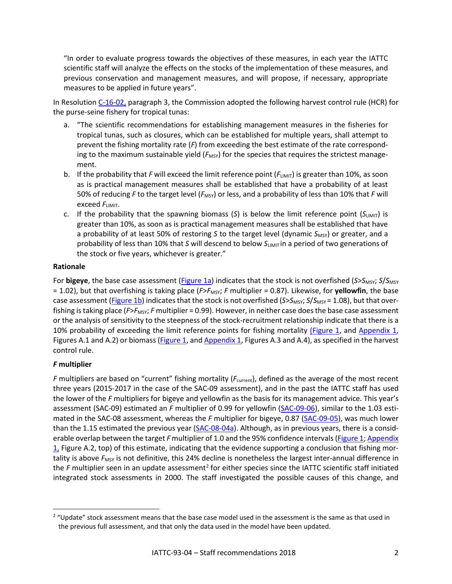"In order to evaluate progress towards the objectives of these measures, in each year the IATTC scientific staff will analyze the effects on the stocks of the implementation of these measures, and previous conservation and management measures, and will propose, if necessary, appropriate measures to be applied in future years".

In Resolution [C-16-02,](https://www.iattc.org/PDFFiles/Resolutions/_English/C-16-02-Harvest-control-rules.pdf) paragraph 3, the Commission adopted the following harvest control rule (HCR) for the purse-seine fishery for tropical tunas:

- a. "The scientific recommendations for establishing management measures in the fisheries for tropical tunas, such as closures, which can be established for multiple years, shall attempt to prevent the fishing mortality rate (*F*) from exceeding the best estimate of the rate corresponding to the maximum sustainable yield ( $F_{MSV}$ ) for the species that requires the strictest management.
- b. If the probability that *F* will exceed the limit reference point ( $F_{\text{LIMIT}}$ ) is greater than 10%, as soon as is practical management measures shall be established that have a probability of at least 50% of reducing *F* to the target level ( $F_{\text{MSY}}$ ) or less, and a probability of less than 10% that *F* will **exceed**  $F$ <sub>LIMIT</sub>.
- c. If the probability that the spawning biomass (S) is below the limit reference point  $(S_{LIMIT})$  is greater than 10%, as soon as is practical management measures shall be established that have a probability of at least 50% of restoring *S* to the target level (dynamic *S<sub>MSY</sub>*) or greater, and a probability of less than 10% that *S* will descend to below  $S<sub>LIMIT</sub>$  in a period of two generations of the stock or five years, whichever is greater."

## **Rationale**

For **bigeye**, the base case assessment (Figure 1a) indicates that the stock is not overfished (*S*>*S*<sub>MSY</sub>; *S*/*S*<sub>MSY</sub> = 1.02), but that overfishing is taking place (*F*>*F*<sub>MSY</sub>; *F* multiplier = 0.87). Likewise, for **yellowfin**, the base case assessment (Figure 1b) indicates that the stock is not overfished (*S*>*S*<sub>MSY</sub>: *S*/*S*<sub>MSY</sub>= 1.08), but that overfishing is taking place (*F>F<sub>MSY</sub>*; *F* multiplier = 0.99). However, in neither case does the base case assessment or the analysis of sensitivity to the steepness of the stock-recruitment relationship indicate that there is a 10% probability of exceeding the limit reference points for fishing mortality (Figure 1, and Appendix 1, Figures A.1 and A.2) or biomass (Figure 1, and Appendix 1, Figures A.3 and A.4), as specified in the harvest control rule.

## *F* **multiplier**

 $\overline{a}$ 

*F* multipliers are based on "current" fishing mortality (*F*<sub>current</sub>), defined as the average of the most recent three years (2015-2017 in the case of the SAC-09 assessment), and in the past the IATTC staff has used the lower of the *F* multipliers for bigeye and yellowfin as the basis for its management advice. This year's assessment (SAC-09) estimated an *F* multiplier of 0.99 for yellowfin [\(SAC-09-06\)](https://www.iattc.org/Meetings/Meetings2018/SAC-09/PDFs/Docs/_English/SAC-09-06-EN_Yellowfin-tuna-assessment-for-2017.pdf), similar to the 1.03 estimated in the SAC-08 assessment, whereas the *F* multiplier for bigeye, 0.87 [\(SAC-09-05\)](https://www.iattc.org/Meetings/Meetings2018/SAC-09/PDFs/Docs/_English/SAC-09-05-EN_Bigeye-tuna-assessment-for-2017.pdf), was much lower than the 1.15 estimated the previous year [\(SAC-08-04a\)](http://www.iattc.org/Meetings/Meetings2017/SAC-08/PDFs/Docs/_English/SAC-08-04a_Bigeye-tuna-assessment-for-2016.pdf). Although, as in previous years, there is a considerable overlap between the target *F* multiplier of 1.0 and the 95% confidence intervals (Figure 1; Appendix  $1$ , Figure A.2, top) of this estimate, indicating that the evidence supporting a conclusion that fishing mortality is above F<sub>MSY</sub> is not definitive, this 24% decline is nonetheless the largest inter-annual difference in the *F* multiplier seen in an update assessment<sup>[2](#page-1-0)</sup> for either species since the IATTC scientific staff initiated integrated stock assessments in 2000. The staff investigated the possible causes of this change, and

<span id="page-1-0"></span><sup>&</sup>lt;sup>2</sup> "Update" stock assessment means that the base case model used in the assessment is the same as that used in the previous full assessment, and that only the data used in the model have been updated.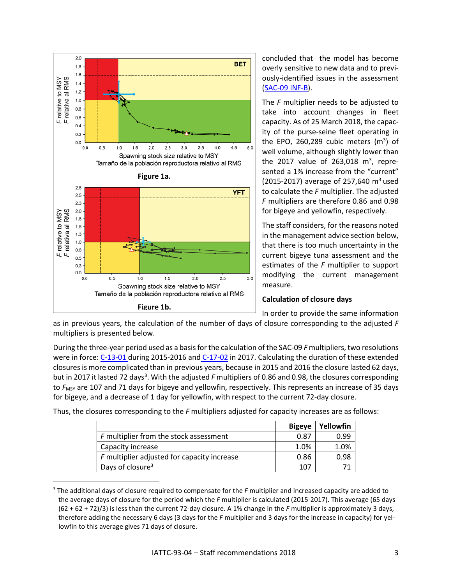

 $\overline{a}$ 

concluded that the model has become overly sensitive to new data and to previously-identified issues in the assessment [\(SAC-09 INF-B\)](https://www.iattc.org/Meetings/Meetings2018/SAC-09/PDFs/Docs/_English/SAC-09-INF-B-EN_Bigeye-tuna-investigation-of-change-in-F-multiplier.pdf).

The *F* multiplier needs to be adjusted to take into account changes in fleet capacity. As of 25 March 2018, the capacity of the purse-seine fleet operating in the EPO, 260,289 cubic meters  $(m^3)$  of well volume, although slightly lower than the 2017 value of 263,018  $m^3$ , represented a 1% increase from the "current" (2015-2017) average of 257,640  $\text{m}^3$  used to calculate the *F* multiplier. The adjusted *F* multipliers are therefore 0.86 and 0.98 for bigeye and yellowfin, respectively.

The staff considers, for the reasons noted in the management advice section below, that there is too much uncertainty in the current bigeye tuna assessment and the estimates of the *F* multiplier to support modifying the current management measure.

## **Calculation of closure days**

In order to provide the same information

as in previous years, the calculation of the number of days of closure corresponding to the adjusted *F* multipliers is presented below.

During the three-year period used as a basis for the calculation of the SAC-09 *F* multipliers, two resolutions were in force: [C-13-01](http://www.iattc.org/PDFFiles2/Resolutions/C-13-01-Tuna-conservation-in-the-EPO-2014-2016.pdf) during 2015-2016 and C-17-02 in 2017. Calculating the duration of these extended closures is more complicated than in previous years, because in 2015 and 2016 the closure lasted 62 days, but in 2017 it lasted 72 days<sup>[3](#page-2-1)</sup>. With the adjusted F multipliers of 0.86 and 0.98, the closures corresponding to *F<sub>MSY</sub>* are 107 and 71 days for bigeye and yellowfin, respectively. This represents an increase of 35 days for bigeye, and a decrease of 1 day for yellowfin, with respect to the current 72-day closure.

Thus, the closures corresponding to the *F* multipliers adjusted for capacity increases are as follows:

<span id="page-2-0"></span>

|                                             | <b>Bigeye</b> | Yellowfin |
|---------------------------------------------|---------------|-----------|
| F multiplier from the stock assessment      | 0.87          | 0.99      |
| Capacity increase                           | 1.0%          | 1.0%      |
| F multiplier adjusted for capacity increase | 0.86          | 0.98      |
| Days of closure <sup>3</sup>                | 107           |           |

<span id="page-2-1"></span><sup>3</sup> The additional days of closure required to compensate for the *F* multiplier and increased capacity are added to the average days of closure for the period which the *F* multiplier is calculated (2015-2017). This average (65 days (62 + 62 + 72)/3) is less than the current 72-day closure. A 1% change in the *F* multiplier is approximately 3 days, therefore adding the necessary 6 days (3 days for the *F* multiplier and 3 days for the increase in capacity) for yellowfin to this average gives 71 days of closure.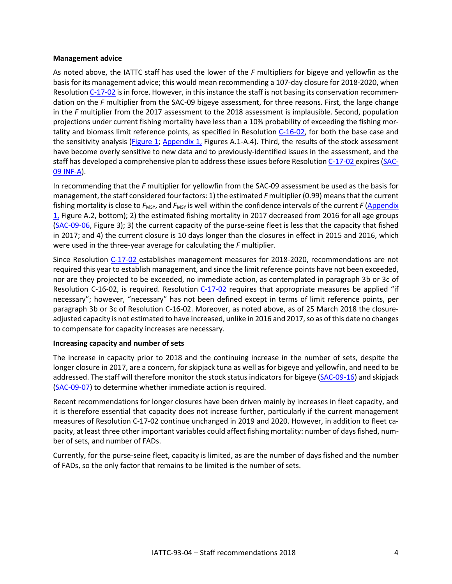#### **Management advice**

As noted above, the IATTC staff has used the lower of the *F* multipliers for bigeye and yellowfin as the basis for its management advice; this would mean recommending a 107-day closure for 2018-2020, when Resolutio[n C-17-02](http://www.iattc.org/PDFFiles/Resolutions/_English/C-17-02-Tuna-conservation-in-the-EPO-2018-2020-and-amendment-to-Res.-C-17-01.pdf) is in force. However, in this instance the staff is not basing its conservation recommendation on the *F* multiplier from the SAC-09 bigeye assessment, for three reasons. First, the large change in the *F* multiplier from the 2017 assessment to the 2018 assessment is implausible. Second, population projections under current fishing mortality have less than a 10% probability of exceeding the fishing mortality and biomass limit reference points, as specified in Resolution [C-16-02,](https://www.iattc.org/PDFFiles/Resolutions/_English/C-16-02-Harvest-control-rules.pdf) for both the base case and the sensitivity analysis (Figure 1; Appendix 1, Figures A.1-A.4). Third, the results of the stock assessment have become overly sensitive to new data and to previously-identified issues in the assessment, and the staff has developed a comprehensive plan to address these issues before Resolution [C-17-02](http://www.iattc.org/PDFFiles/Resolutions/_English/C-17-02-Tuna-conservation-in-the-EPO-2018-2020-and-amendment-to-Res.-C-17-01.pdf) expires [\(SAC-](https://www.iattc.org/Meetings/Meetings2018/SAC-09/PDFs/Docs/_English/SAC-09-INF-A-EN_Bigeye-tuna-investigation-of-change-in-F-multiplier.pdf)[09 INF-A\)](https://www.iattc.org/Meetings/Meetings2018/SAC-09/PDFs/Docs/_English/SAC-09-INF-A-EN_Bigeye-tuna-investigation-of-change-in-F-multiplier.pdf).

In recommending that the *F* multiplier for yellowfin from the SAC-09 assessment be used as the basis for management, the staff considered four factors: 1) the estimated *F* multiplier (0.99) means that the current fishing mortality is close to  $F_{MSY}$ , and  $F_{MSY}$  is well within the confidence intervals of the current  $F(Appendix)$ 1, Figure A.2, bottom); 2) the estimated fishing mortality in 2017 decreased from 2016 for all age groups [\(SAC-09-06,](https://www.iattc.org/Meetings/Meetings2018/SAC-09/PDFs/Docs/_English/SAC-09-06-EN_Yellowfin-tuna-assessment-for-2017.pdf) Figure 3); 3) the current capacity of the purse-seine fleet is less that the capacity that fished in 2017; and 4) the current closure is 10 days longer than the closures in effect in 2015 and 2016, which were used in the three-year average for calculating the *F* multiplier.

Since Resolution [C-17-02](http://www.iattc.org/PDFFiles/Resolutions/_English/C-17-02-Tuna-conservation-in-the-EPO-2018-2020-and-amendment-to-Res.-C-17-01.pdf) establishes management measures for 2018-2020, recommendations are not required this year to establish management, and since the limit reference points have not been exceeded, nor are they projected to be exceeded, no immediate action, as contemplated in paragraph 3b or 3c of Resolution C-16-02, is required. Resolution [C-17-02](http://www.iattc.org/PDFFiles/Resolutions/_English/C-17-02-Tuna-conservation-in-the-EPO-2018-2020-and-amendment-to-Res.-C-17-01.pdf) requires that appropriate measures be applied "if necessary"; however, "necessary" has not been defined except in terms of limit reference points, per paragraph 3b or 3c of Resolution C-16-02. Moreover, as noted above, as of 25 March 2018 the closureadjusted capacity is not estimated to have increased, unlike in 2016 and 2017, so as of this date no changes to compensate for capacity increases are necessary.

## **Increasing capacity and number of sets**

The increase in capacity prior to 2018 and the continuing increase in the number of sets, despite the longer closure in 2017, are a concern, for skipjack tuna as well as for bigeye and yellowfin, and need to be addressed. The staff will therefore monitor the stock status indicators for bigeye [\(SAC-09-16\)](https://www.iattc.org/Meetings/Meetings2018/SAC-09/PDFs/Docs/_English/SAC-09-16-EN_Stock-Status-Indicators-for-bigeye-tuna.pdf) and skipjack [\(SAC-09-07\)](https://www.iattc.org/Meetings/Meetings2018/SAC-09/PDFs/Docs/_English/SAC-09-07-EN_Skipjack-tuna-indicators-of-stock-statusREV.pdf) to determine whether immediate action is required.

Recent recommendations for longer closures have been driven mainly by increases in fleet capacity, and it is therefore essential that capacity does not increase further, particularly if the current management measures of Resolution C-17-02 continue unchanged in 2019 and 2020. However, in addition to fleet capacity, at least three other important variables could affect fishing mortality: number of days fished, number of sets, and number of FADs.

Currently, for the purse-seine fleet, capacity is limited, as are the number of days fished and the number of FADs, so the only factor that remains to be limited is the number of sets.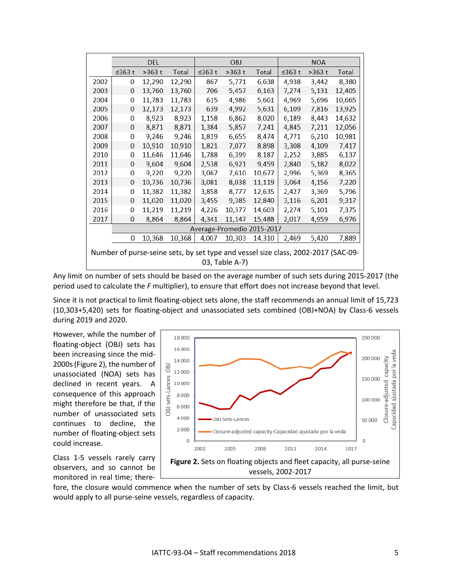|                                                                                                     | DEL                        |        |        | OBJ    |        |        | <b>NOA</b> |        |        |  |  |
|-----------------------------------------------------------------------------------------------------|----------------------------|--------|--------|--------|--------|--------|------------|--------|--------|--|--|
|                                                                                                     | $\leq$ 363 t               | >363 t | Total  | ≤363 t | >363 t | Total  | ≤363 $t$   | >363 t | Total  |  |  |
| 2002                                                                                                | 0                          | 12,290 | 12,290 | 867    | 5,771  | 6,638  | 4,938      | 3,442  | 8,380  |  |  |
| 2003                                                                                                | $\mathbf{0}$               | 13,760 | 13,760 | 706    | 5,457  | 6,163  | 7,274      | 5,131  | 12,405 |  |  |
| 2004                                                                                                | 0                          | 11,783 | 11,783 | 615    | 4,986  | 5,601  | 4,969      | 5,696  | 10,665 |  |  |
| 2005                                                                                                | 0                          | 12,173 | 12,173 | 639    | 4,992  | 5,631  | 6,109      | 7,816  | 13,925 |  |  |
| 2006                                                                                                | 0                          | 8,923  | 8,923  | 1,158  | 6,862  | 8,020  | 6,189      | 8,443  | 14,632 |  |  |
| 2007                                                                                                | 0                          | 8,871  | 8,871  | 1,384  | 5,857  | 7,241  | 4,845      | 7,211  | 12,056 |  |  |
| 2008                                                                                                | 0                          | 9,246  | 9,246  | 1,819  | 6,655  | 8,474  | 4,771      | 6,210  | 10,981 |  |  |
| 2009                                                                                                | $\mathbf{0}$               | 10,910 | 10,910 | 1,821  | 7,077  | 8,898  | 3,308      | 4,109  | 7,417  |  |  |
| 2010                                                                                                | 0                          | 11,646 | 11,646 | 1,788  | 6,399  | 8,187  | 2,252      | 3,885  | 6,137  |  |  |
| 2011                                                                                                | 0                          | 9,604  | 9,604  | 2,538  | 6,921  | 9,459  | 2,840      | 5,182  | 8,022  |  |  |
| 2012                                                                                                | 0                          | 9,220  | 9,220  | 3,067  | 7,610  | 10,677 | 2,996      | 5,369  | 8,365  |  |  |
| 2013                                                                                                | 0                          | 10,736 | 10,736 | 3,081  | 8,038  | 11,119 | 3,064      | 4,156  | 7,220  |  |  |
| 2014                                                                                                | 0                          | 11,382 | 11,382 | 3,858  | 8,777  | 12,635 | 2,427      | 3,369  | 5,796  |  |  |
| 2015                                                                                                | 0                          | 11,020 | 11,020 | 3,455  | 9,385  | 12,840 | 3,116      | 6,201  | 9,317  |  |  |
| 2016                                                                                                | 0                          | 11,219 | 11,219 | 4,226  | 10,377 | 14,603 | 2,274      | 5,101  | 7,375  |  |  |
| 2017                                                                                                | $\mathbf{0}$               | 8,864  | 8,864  | 4,341  | 11,147 | 15,488 | 2,017      | 4,959  | 6,976  |  |  |
|                                                                                                     | Average-Promedio 2015-2017 |        |        |        |        |        |            |        |        |  |  |
|                                                                                                     | 0                          | 10,368 | 10,368 | 4,007  | 10,303 | 14,310 | 2,469      | 5,420  | 7,889  |  |  |
| Number of purse-seine sets, by set type and vessel size class, 2002-2017 (SAC-09-<br>03, Table A-7) |                            |        |        |        |        |        |            |        |        |  |  |

Any limit on number of sets should be based on the average number of such sets during 2015-2017 (the period used to calculate the *F* multiplier), to ensure that effort does not increase beyond that level.

Since it is not practical to limit floating-object sets alone, the staff recommends an annual limit of 15,723 (10,303+5,420) sets for floating-object and unassociated sets combined (OBJ+NOA) by Class-6 vessels during 2019 and 2020.

However, while the number of floating-object (OBJ) sets has been increasing since the mid-2000s(Figure 2), the number of unassociated (NOA) sets has declined in recent years. A consequence of this approach might therefore be that, if the number of unassociated sets continues to decline, the number of floating-object sets could increase.



Class 1-5 vessels rarely carry observers, and so cannot be monitored in real time; there-

fore, the closure would commence when the number of sets by Class-6 vessels reached the limit, but would apply to all purse-seine vessels, regardless of capacity.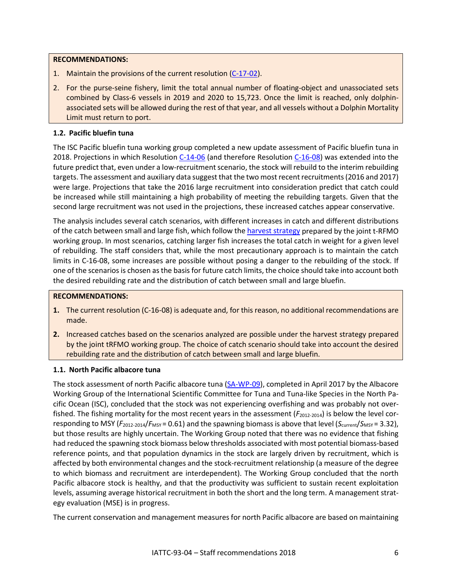#### **RECOMMENDATIONS:**

- 1. Maintain the provisions of the current resolution [\(C-17-02\)](http://www.iattc.org/PDFFiles/Resolutions/_English/C-17-02-Tuna-conservation-in-the-EPO-2018-2020-and-amendment-to-Res.-C-17-01.pdf).
- 2. For the purse-seine fishery, limit the total annual number of floating-object and unassociated sets combined by Class-6 vessels in 2019 and 2020 to 15,723. Once the limit is reached, only dolphinassociated sets will be allowed during the rest of that year, and all vessels without a Dolphin Mortality Limit must return to port.

## **1.2. Pacific bluefin tuna**

The ISC Pacific bluefin tuna working group completed a new update assessment of Pacific bluefin tuna in 2018. Projections in which Resolution [C-14-06](https://www.iattc.org/PDFFiles2/Resolutions/C-14-06-Conservation-of-bluefin-2015-2016.pdf) (and therefore Resolution [C-16-08\)](https://www.iattc.org/PDFFiles2/Resolutions/C-16-08-Conservation-and-management-of-Pacific-bluefin-tuna.pdf) was extended into the future predict that, even under a low-recruitment scenario, the stock will rebuild to the interim rebuilding targets. The assessment and auxiliary data suggest that the two most recent recruitments (2016 and 2017) were large. Projections that take the 2016 large recruitment into consideration predict that catch could be increased while still maintaining a high probability of meeting the rebuilding targets. Given that the second large recruitment was not used in the projections, these increased catches appear conservative.

The analysis includes several catch scenarios, with different increases in catch and different distributions of the catch between small and large fish, which follow the [harvest strategy](https://www.wcpfc.int/system/files/HS%202017-02%20Harvest%20Strategy%20for%20Pacific%20Bluefin%20Tuna_0.pdf) prepared by the joint t-RFMO working group. In most scenarios, catching larger fish increases the total catch in weight for a given level of rebuilding. The staff considers that, while the most precautionary approach is to maintain the catch limits in C-16-08, some increases are possible without posing a danger to the rebuilding of the stock. If one of the scenarios is chosen as the basis for future catch limits, the choice should take into account both the desired rebuilding rate and the distribution of catch between small and large bluefin.

## **RECOMMENDATIONS:**

- **1.** The current resolution [\(C-16-08\)](https://www.iattc.org/PDFFiles2/Resolutions/C-16-08-Conservation-and-management-of-Pacific-bluefin-tuna.pdf) is adequate and, for this reason, no additional recommendations are made.
- **2.** Increased catches based on the scenarios analyzed are possible under the harvest strategy prepared by the joint tRFMO working group. The choice of catch scenario should take into account the desired rebuilding rate and the distribution of catch between small and large bluefin.

## **1.1. North Pacific albacore tuna**

The stock assessment of north Pacific albacore tuna [\(SA-WP-09\)](https://www.wcpfc.int/node/29522), completed in April 2017 by the Albacore Working Group of the International Scientific Committee for Tuna and Tuna-like Species in the North Pacific Ocean (ISC), concluded that the stock was not experiencing overfishing and was probably not overfished. The fishing mortality for the most recent years in the assessment ( $F_{2012-2014}$ ) is below the level corresponding to MSY ( $F_{2012-2014}/F_{MSY}= 0.61$ ) and the spawning biomass is above that level ( $S_{\text{current}}/S_{MSY}= 3.32$ ), but those results are highly uncertain. The Working Group noted that there was no evidence that fishing had reduced the spawning stock biomass below thresholds associated with most potential biomass-based reference points, and that population dynamics in the stock are largely driven by recruitment, which is affected by both environmental changes and the stock-recruitment relationship (a measure of the degree to which biomass and recruitment are interdependent). The Working Group concluded that the north Pacific albacore stock is healthy, and that the productivity was sufficient to sustain recent exploitation levels, assuming average historical recruitment in both the short and the long term. A management strategy evaluation (MSE) is in progress.

The current conservation and management measures for north Pacific albacore are based on maintaining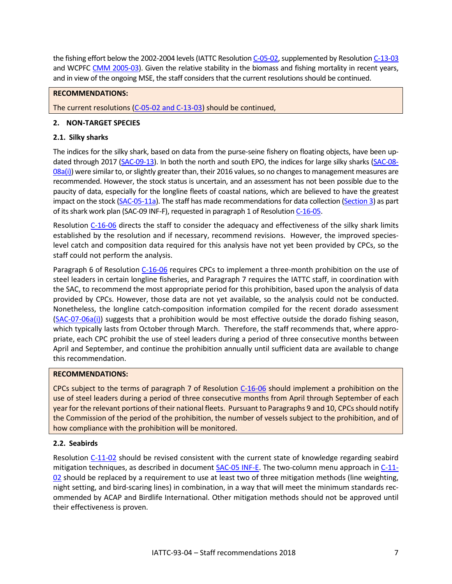the fishing effort below the 2002-2004 levels (IATTC Resolutio[n C-05-02,](https://www.iattc.org/PDFFiles/Resolutions/_English/C-05-02-Northern-albacore-tuna.pdf) supplemented by Resolutio[n C-13-03](https://www.iattc.org/PDFFiles/Resolutions/_English/C-13-03-North-Pacific-albacore.pdf) and WCPFC [CMM 2005-03\)](https://www.wcpfc.int/system/files/WCPFC2_Records_I.pdf). Given the relative stability in the biomass and fishing mortality in recent years, and in view of the ongoing MSE, the staff considers that the current resolutionsshould be continued.

## **RECOMMENDATIONS:**

The current resolutions [\(C-05-02](https://www.iattc.org/PDFFiles/Resolutions/_English/C-05-02-Northern-albacore-tuna.pdf) and [C-13-03\)](https://www.iattc.org/PDFFiles2/Resolutions/C-13-03-North-Pacific-albacore.pdf) should be continued,

## <span id="page-6-0"></span>**2. NON-TARGET SPECIES**

## **2.1. Silky sharks**

The indices for the silky shark, based on data from the purse-seine fishery on floating objects, have been up-dated through 2017 [\(SAC-09-13\)](https://www.iattc.org/Meetings/Meetings2018/SAC-09/PDFs/Docs/_English/SAC-09-13-EN_Updated-purse-seine-indicators-for-silky-sharks-in-the-EPO.pdf). In both the north and south EPO, the indices for large silky sharks [\(SAC-08-](https://www.iattc.org/Meetings/Meetings2017/SAC-08/PDFs/Docs/_English/SAC-08-08a(i)_Updated-purse-seine-indicators-for-silky-sharks-in-the-EPO.pdf) [08a\(i\)\)](https://www.iattc.org/Meetings/Meetings2017/SAC-08/PDFs/Docs/_English/SAC-08-08a(i)_Updated-purse-seine-indicators-for-silky-sharks-in-the-EPO.pdf) were similar to, or slightly greater than, their 2016 values, so no changes to management measures are recommended. However, the stock status is uncertain, and an assessment has not been possible due to the paucity of data, especially for the longline fleets of coastal nations, which are believed to have the greatest impact on the stock [\(SAC-05-11a\)](https://www.iattc.org/Meetings/Meetings2014/May/_English/SAC-05-11a-Indicators-for-silky-sharks.pdf). The staff has made recommendations for data collection (Section 3) as part of its shark work plan (SAC-09 INF-F), requested in paragraph 1 of Resolutio[n C-16-05.](https://www.iattc.org/PDFFiles/Resolutions/_English/C-16-05-Management-of-sharks.pdf)

Resolution [C-16-06](https://www.iattc.org/PDFFiles/Resolutions/_English/C-16-06-Conservation-of-sharks.pdf) directs the staff to consider the adequacy and effectiveness of the silky shark limits established by the resolution and if necessary, recommend revisions. However, the improved specieslevel catch and composition data required for this analysis have not yet been provided by CPCs, so the staff could not perform the analysis.

Paragraph 6 of Resolution [C-16-06](https://www.iattc.org/PDFFiles/Resolutions/_English/C-16-06-Conservation-of-sharks.pdf) requires CPCs to implement a three-month prohibition on the use of steel leaders in certain longline fisheries, and Paragraph 7 requires the IATTC staff, in coordination with the SAC, to recommend the most appropriate period for this prohibition, based upon the analysis of data provided by CPCs. However, those data are not yet available, so the analysis could not be conducted. Nonetheless, the longline catch-composition information compiled for the recent dorado assessment [\(SAC-07-06a\(i\)\)](https://www.iattc.org/Meetings/Meetings2016/SAC-07/PDFs/Docs/_English/SAC-07-06a(i)-Dorado-assessment.pdf) suggests that a prohibition would be most effective outside the dorado fishing season, which typically lasts from October through March. Therefore, the staff recommends that, where appropriate, each CPC prohibit the use of steel leaders during a period of three consecutive months between April and September, and continue the prohibition annually until sufficient data are available to change this recommendation.

## **RECOMMENDATIONS:**

CPCs subject to the terms of paragraph 7 of Resolution [C-16-06](https://www.iattc.org/PDFFiles/Resolutions/_English/C-16-06-Conservation-of-sharks.pdf) should implement a prohibition on the use of steel leaders during a period of three consecutive months from April through September of each year for the relevant portions of their national fleets. Pursuant to Paragraphs 9 and 10, CPCs should notify the Commission of the period of the prohibition, the number of vessels subject to the prohibition, and of how compliance with the prohibition will be monitored.

## **2.2. Seabirds**

Resolution [C-11-02](http://www.iattc.org/PDFFiles2/Resolutions/C-11-02-Seabirds.pdf) should be revised consistent with the current state of knowledge regarding seabird mitigation techniques, as described in documen[t SAC-05 INF-E.](https://www.iattc.org/Meetings/Meetings2014/May/_English/SAC-05-INF-E-ACAP-BLI-Seabirds-Reducing-bycatch.pdf) The two-column menu approach in [C-11-](http://www.iattc.org/PDFFiles2/Resolutions/C-11-02-Seabirds.pdf) [02](http://www.iattc.org/PDFFiles2/Resolutions/C-11-02-Seabirds.pdf) should be replaced by a requirement to use at least two of three mitigation methods (line weighting, night setting, and bird-scaring lines) in combination, in a way that will meet the minimum standards recommended by ACAP and Birdlife International. Other mitigation methods should not be approved until their effectiveness is proven.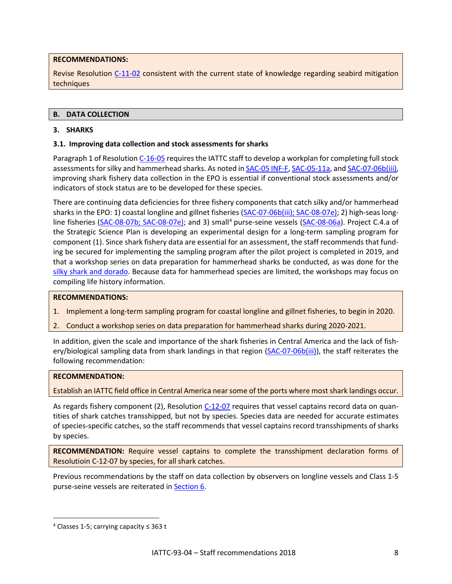## **RECOMMENDATIONS:**

Revise Resolution [C-11-02](http://www.iattc.org/PDFFiles2/Resolutions/C-11-02-Seabirds.pdf) consistent with the current state of knowledge regarding seabird mitigation techniques

## <span id="page-7-0"></span>**B. DATA COLLECTION**

## <span id="page-7-1"></span>**3. SHARKS**

## **3.1. Improving data collection and stock assessments for sharks**

Paragraph 1 of Resolution [C-16-05](https://www.iattc.org/PDFFiles2/Resolutions/C-16-05-Management-of-sharks.pdf) requires the IATTC staff to develop a workplan for completing full stock assessments for silky and hammerhead sharks. As noted in **SAC-05 INF-F**, [SAC-05-11a,](https://www.iattc.org/Meetings/Meetings2014/May/_English/SAC-05-11a-Indicators-for-silky-sharks.pdf) and SAC-07-06b(iii), improving shark fishery data collection in the EPO is essential if conventional stock assessments and/or indicators of stock status are to be developed for these species.

There are continuing data deficiencies for three fishery components that catch silky and/or hammerhead sharks in the EPO: 1) coastal longline and gillnet fisheries [\(SAC-07-06b\(iii\);](http://www.iattc.org/Meetings/Meetings2016/SAC7/PDFfiles/SAC-07-06b-iii-Results-of-FAO-GEF-shark-project-2REV.pdf) [SAC-08-07e\)](https://www.iattc.org/Meetings/Meetings2017/SAC08/PDFs/SAC-08-07e-Requirements-for-longline-observer-programs-under-resolution-C-11-08.pdf); 2) high-seas long-line fisheries [\(SAC-08-07b;](https://www.iattc.org/Meetings/Meetings2017/SAC08/PDFs/SAC-08-07b-Longline-metadata.pdf) [SAC-08-07e\)](https://www.iattc.org/Meetings/Meetings2017/SAC08/PDFs/SAC-08-07e-Requirements-for-longline-observer-programs-under-resolution-C-11-08.pdf); and 3) small<sup>[4](#page-7-2)</sup> purse-seine vessels [\(SAC-08-06a\)](https://www.iattc.org/Meetings/Meetings2017/SAC08/PDFs/SAC-08-06a-Fishery-data-for-small-PS-vessels.pdf). Project C.4.a of the Strategic Science Plan is developing an experimental design for a long-term sampling program for component (1). Since shark fishery data are essential for an assessment, the staff recommends that funding be secured for implementing the sampling program after the pilot project is completed in 2019, and that a workshop series on data preparation for hammerhead sharks be conducted, as was done for the silky shark [and dorado.](https://www.iattc.org/IATTC-Other-meetingsENG.htm) Because data for hammerhead species are limited, the workshops may focus on compiling life history information.

#### **RECOMMENDATIONS:**

- 1. Implement a long-term sampling program for coastal longline and gillnet fisheries, to begin in 2020.
- 2. Conduct a workshop series on data preparation for hammerhead sharks during 2020-2021.

In addition, given the scale and importance of the shark fisheries in Central America and the lack of fish-ery/biological sampling data from shark landings in that region [\(SAC-07-06b\(iii\)\)](http://www.iattc.org/Meetings/Meetings2016/SAC7/PDFfiles/SAC-07-06b-iii-Results-of-FAO-GEF-shark-project-2REV.pdf), the staff reiterates the following recommendation:

#### **RECOMMENDATION:**

Establish an IATTC field office in Central America near some of the ports where most shark landings occur.

As regards fishery component (2), Resolution [C-12-07](https://www.iattc.org/PDFFiles/Resolutions/_English/C-12-07-Amendment-C-11-09-Transshipments.pdf) requires that vessel captains record data on quantities of shark catches transshipped, but not by species. Species data are needed for accurate estimates of species-specific catches, so the staff recommends that vessel captains record transshipments of sharks by species.

**RECOMMENDATION:** Require vessel captains to complete the transshipment declaration forms of Resolutioin C-12-07 by species, for all shark catches.

Previous recommendations by the staff on data collection by observers on longline vessels and Class 1-5 purse-seine vessels are reiterated in Section 6.

 $\overline{a}$ 

<span id="page-7-2"></span> $4$  Classes 1-5; carrying capacity  $\leq$  363 t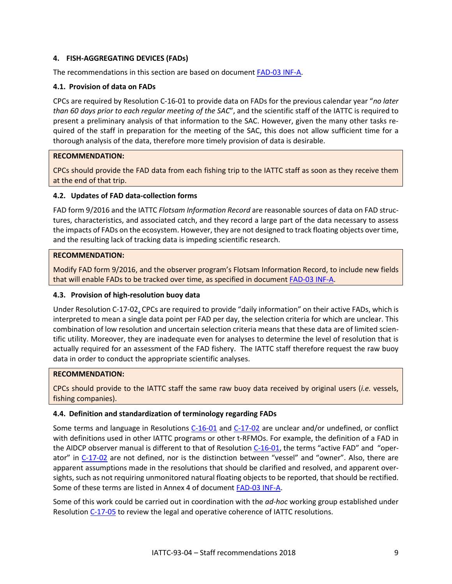## <span id="page-8-0"></span>**4. FISH-AGGREGATING DEVICES (FADs)**

The recommendations in this section are based on document [FAD-03 INF-A.](https://www.iattc.org/Meetings/Meetings2018/BYC-08-FADs-03/PDFs/Docs/_English/FAD-03-INF-A-EN_Review-of-resolutions-C-16-01-and-C-17-02.pdf)

#### **4.1. Provision of data on FADs**

CPCs are required by Resolution C-16-01 to provide data on FADs for the previous calendar year "*no later than 60 days prior to each regular meeting of the SAC*", and the scientific staff of the IATTC is required to present a preliminary analysis of that information to the SAC. However, given the many other tasks required of the staff in preparation for the meeting of the SAC, this does not allow sufficient time for a thorough analysis of the data, therefore more timely provision of data is desirable.

#### **RECOMMENDATION:**

CPCs should provide the FAD data from each fishing trip to the IATTC staff as soon as they receive them at the end of that trip.

#### **4.2. Updates of FAD data-collection forms**

FAD form 9/2016 and the IATTC *Flotsam Information Record* are reasonable sources of data on FAD structures, characteristics, and associated catch, and they record a large part of the data necessary to assess the impacts of FADs on the ecosystem. However, they are not designed to track floating objects over time, and the resulting lack of tracking data is impeding scientific research.

#### **RECOMMENDATION:**

Modify FAD form 9/2016, and the observer program's Flotsam Information Record, to include new fields that will enable FADs to be tracked over time, as specified in document [FAD-03 INF-A.](https://www.iattc.org/Meetings/Meetings2018/BYC-08-FADs-03/PDFs/Docs/_English/FAD-03-INF-A-EN_Review-of-resolutions-C-16-01-and-C-17-02.pdf)

#### **4.3. Provision of high-resolution buoy data**

Under Resolution C-17-02, CPCs are required to provide "daily information" on their active FADs, which is interpreted to mean a single data point per FAD per day, the selection criteria for which are unclear. This combination of low resolution and uncertain selection criteria means that these data are of limited scientific utility. Moreover, they are inadequate even for analyses to determine the level of resolution that is actually required for an assessment of the FAD fishery. The IATTC staff therefore request the raw buoy data in order to conduct the appropriate scientific analyses.

#### **RECOMMENDATION:**

CPCs should provide to the IATTC staff the same raw buoy data received by original users (*i.e.* vessels, fishing companies).

## **4.4. Definition and standardization of terminology regarding FADs**

Some terms and language in Resolutions [C-16-01](https://www.iattc.org/PDFFiles/Resolutions/_English/C-16-01-FADs-Amendment-C-15-03.pdf) and [C-17-02](https://www.iattc.org/PDFFiles/Resolutions/_English/C-17-02-Tuna-conservation-in-the-EPO-2018-2020-and-amendment-to-Res.-C-17-01.pdf) are unclear and/or undefined, or conflict with definitions used in other IATTC programs or other t-RFMOs. For example, the definition of a FAD in the AIDCP observer manual is different to that of Resolutio[n C-16-01,](https://www.iattc.org/PDFFiles/Resolutions/_English/C-16-01-FADs-Amendment-C-15-03.pdf) the terms "active FAD" and "oper-ator" in [C-17-02](https://www.iattc.org/PDFFiles/Resolutions/_English/C-17-02-Tuna-conservation-in-the-EPO-2018-2020-and-amendment-to-Res.-C-17-01.pdf) are not defined, nor is the distinction between "vessel" and "owner". Also, there are apparent assumptions made in the resolutions that should be clarified and resolved, and apparent oversights, such as not requiring unmonitored natural floating objects to be reported, that should be rectified. Some of these terms are listed in Annex 4 of document [FAD-03 INF-A.](https://www.iattc.org/Meetings/Meetings2018/BYC-08-FADs-03/PDFs/Docs/_English/FAD-03-INF-A-EN_Review-of-resolutions-C-16-01-and-C-17-02.pdf)

Some of this work could be carried out in coordination with the *ad-hoc* working group established under Resolution [C-17-05](https://www.iattc.org/PDFFiles/Resolutions/_English/C-17-05-WG-on-resolutions%20.pdf) to review the legal and operative coherence of IATTC resolutions.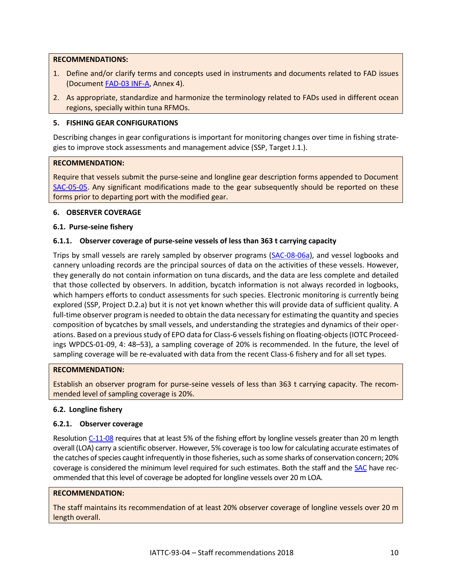#### **RECOMMENDATIONS:**

- 1. Define and/or clarify terms and concepts used in instruments and documents related to FAD issues (Documen[t FAD-03 INF-A,](https://www.iattc.org/Meetings/Meetings2018/BYC-08-FADs-03/PDFs/Docs/_English/FAD-03-INF-A-EN_Review-of-resolutions-C-16-01-and-C-17-02.pdf) Annex 4).
- 2. As appropriate, standardize and harmonize the terminology related to FADs used in different ocean regions, specially within tuna RFMOs.

#### <span id="page-9-0"></span>**5. FISHING GEAR CONFIGURATIONS**

Describing changes in gear configurations is important for monitoring changes over time in fishing strategies to improve stock assessments and management advice (SSP, Target J.1.).

#### **RECOMMENDATION:**

Require that vessels submit the purse-seine and longline gear description forms appended to Document [SAC-05-05.](http://www.iattc.org/Meetings/Meetings2014/MAYSAC/PDFs/SAC-05-05-Fishing-gear-data-for-scientific-purposes.pdf) Any significant modifications made to the gear subsequently should be reported on these forms prior to departing port with the modified gear.

#### <span id="page-9-1"></span>**6. OBSERVER COVERAGE**

#### **6.1. Purse-seine fishery**

## **6.1.1. Observer coverage of purse-seine vessels of less than 363 t carrying capacity**

Trips by small vessels are rarely sampled by observer programs [\(SAC-08-06a\)](https://www.iattc.org/Meetings/Meetings2017/SAC08/PDFs/SAC-08-06a-Fishery-data-for-small-PS-vessels.pdf), and vessel logbooks and cannery unloading records are the principal sources of data on the activities of these vessels. However, they generally do not contain information on tuna discards, and the data are less complete and detailed that those collected by observers. In addition, bycatch information is not always recorded in logbooks, which hampers efforts to conduct assessments for such species. Electronic monitoring is currently being explored (SSP, Project D.2.a) but it is not yet known whether this will provide data of sufficient quality. A full-time observer program is needed to obtain the data necessary for estimating the quantity and species composition of bycatches by small vessels, and understanding the strategies and dynamics of their operations. Based on a previous study of EPO data for Class-6 vessels fishing on floating-objects (IOTC Proceedings WPDCS-01-09, 4: 48–53), a sampling coverage of 20% is recommended. In the future, the level of sampling coverage will be re-evaluated with data from the recent Class-6 fishery and for all set types.

#### **RECOMMENDATION:**

Establish an observer program for purse-seine vessels of less than 363 t carrying capacity. The recommended level of sampling coverage is 20%.

## **6.2. Longline fishery**

## **6.2.1. Observer coverage**

Resolution [C-11-08](http://www.iattc.org/PDFFiles2/Resolutions/C-11-08-Observers-on-longline-vessels.pdf) requires that at least 5% of the fishing effort by longline vessels greater than 20 m length overall (LOA) carry a scientific observer. However, 5% coverage is too low for calculating accurate estimates of the catches of species caught infrequently in those fisheries, such as some sharks of conservation concern; 20% coverage is considered the minimum level required for such estimates. Both the staff and the [SAC](https://www.iattc.org/Meetings/Meetings2017/IATTC-92/PDFs/Docs/_English/IATTC-92-04c_Recommendations-of-the-8th-meeting-of-the-Scientific-Advisory-Committee.pdf) have recommended that this level of coverage be adopted for longline vessels over 20 m LOA.

#### **RECOMMENDATION:**

The staff maintains its recommendation of at least 20% observer coverage of longline vessels over 20 m length overall.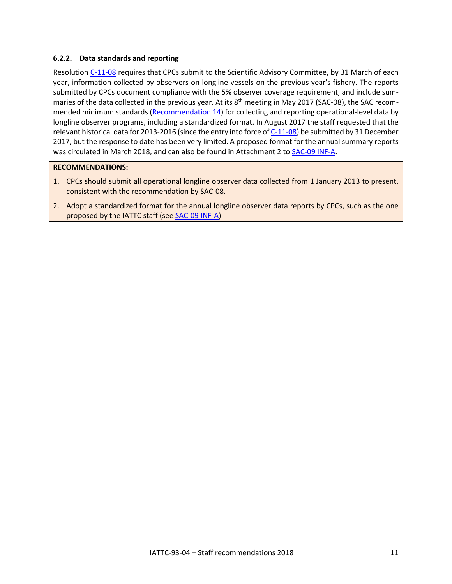## **6.2.2. Data standards and reporting**

Resolution [C-11-08](https://www.iattc.org/PDFFiles/Resolutions/_English/C-11-08-Observers-on-longline-vessels.pdf) requires that CPCs submit to the Scientific Advisory Committee, by 31 March of each year, information collected by observers on longline vessels on the previous year's fishery. The reports submitted by CPCs document compliance with the 5% observer coverage requirement, and include summaries of the data collected in the previous year. At its 8<sup>th</sup> meeting in May 2017 (SAC-08), the SAC recommended minimum standards [\(Recommendation 14\)](https://www.iattc.org/Meetings/Meetings2017/IATTC-92/PDFs/Docs/_English/IATTC-92-04c_Recommendations-of-the-8th-meeting-of-the-Scientific-Advisory-Committee.pdf) for collecting and reporting operational-level data by longline observer programs, including a standardized format. In August 2017 the staff requested that the relevant historical data for 2013-2016 (since the entry into force o[f C-11-08\)](https://www.iattc.org/PDFFiles/Resolutions/_English/C-11-08-Observers-on-longline-vessels.pdf) be submitted by 31 December 2017, but the response to date has been very limited. A proposed format for the annual summary reports was circulated in March 2018, and can also be found in Attachment 2 t[o SAC-09 INF-A.](https://www.iattc.org/Meetings/Meetings2018/SAC-09/PDFs/INF/_English/SAC-09-INF-A-Summarized-overview-of-longline-observers-reporting-by-CPCs-pursuant-to-Resolution-C-11-08.pdf)

#### **RECOMMENDATIONS:**

- 1. CPCs should submit all operational longline observer data collected from 1 January 2013 to present, consistent with the recommendation by SAC-08.
- 2. Adopt a standardized format for the annual longline observer data reports by CPCs, such as the one proposed by the IATTC staff (se[e SAC-09 INF-A\)](https://www.iattc.org/Meetings/Meetings2018/SAC-09/PDFs/INF/_English/SAC-09-INF-A-Summarized-overview-of-longline-observers-reporting-by-CPCs-pursuant-to-Resolution-C-11-08.pdf)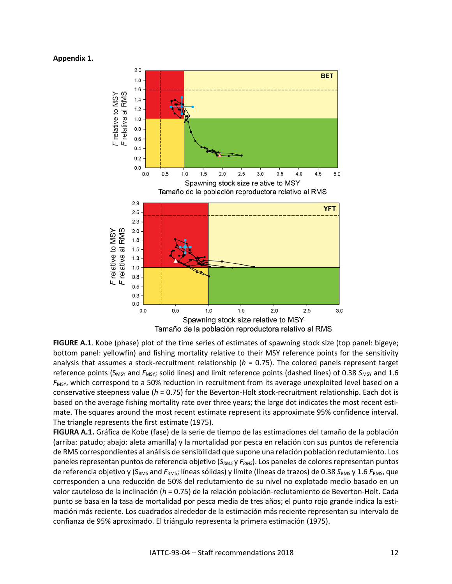#### <span id="page-11-0"></span>**Appendix 1.**



**FIGURE A.1**. Kobe (phase) plot of the time series of estimates of spawning stock size (top panel: bigeye; bottom panel: yellowfin) and fishing mortality relative to their MSY reference points for the sensitivity analysis that assumes a stock-recruitment relationship (*h* = 0.75). The colored panels represent target reference points (S<sub>MSY</sub> and F<sub>MSY</sub>; solid lines) and limit reference points (dashed lines) of 0.38 S<sub>MSY</sub> and 1.6 *F<sub>MSY</sub>*, which correspond to a 50% reduction in recruitment from its average unexploited level based on a conservative steepness value (*h* = 0.75) for the Beverton-Holt stock-recruitment relationship. Each dot is based on the average fishing mortality rate over three years; the large dot indicates the most recent estimate. The squares around the most recent estimate represent its approximate 95% confidence interval. The triangle represents the first estimate (1975).

**FIGURA A.1.** Gráfica de Kobe (fase) de la serie de tiempo de las estimaciones del tamaño de la población (arriba: patudo; abajo: aleta amarilla) y la mortalidad por pesca en relación con sus puntos de referencia de RMS correspondientes al análisis de sensibilidad que supone una relación población reclutamiento. Los paneles representan puntos de referencia objetivo (*SRMS* y *FRMS*). Los paneles de colores representan puntos de referencia objetivo y (S<sub>RMS</sub> and *F<sub>RMS</sub>*; líneas sólidas) y límite (líneas de trazos) de 0.38 S<sub>RMS</sub> y 1.6 F<sub>RMS</sub>, que corresponden a una reducción de 50% del reclutamiento de su nivel no explotado medio basado en un valor cauteloso de la inclinación (*h* = 0.75) de la relación población-reclutamiento de Beverton-Holt. Cada punto se basa en la tasa de mortalidad por pesca media de tres años; el punto rojo grande indica la estimación más reciente. Los cuadrados alrededor de la estimación más reciente representan su intervalo de confianza de 95% aproximado. El triángulo representa la primera estimación (1975).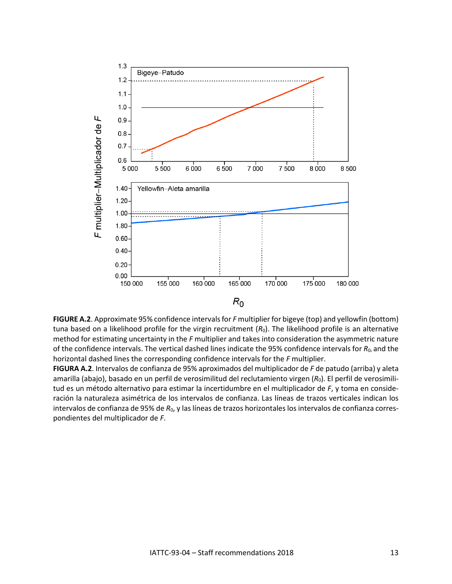

**FIGURE A.2**. Approximate 95% confidence intervals for *F* multiplier for bigeye (top) and yellowfin (bottom) tuna based on a likelihood profile for the virgin recruitment ( $R_0$ ). The likelihood profile is an alternative method for estimating uncertainty in the *F* multiplier and takes into consideration the asymmetric nature of the confidence intervals. The vertical dashed lines indicate the 95% confidence intervals for  $R_0$ , and the horizontal dashed lines the corresponding confidence intervals for the *F* multiplier.

**FIGURA A.2**. Intervalos de confianza de 95% aproximados del multiplicador de *F* de patudo (arriba) y aleta amarilla (abajo), basado en un perfil de verosimilitud del reclutamiento virgen (*R*0). El perfil de verosimilitud es un método alternativo para estimar la incertidumbre en el multiplicador de *F*, y toma en consideración la naturaleza asimétrica de los intervalos de confianza. Las líneas de trazos verticales indican los intervalos de confianza de 95% de *R*0, y las líneas de trazos horizontales los intervalos de confianza correspondientes del multiplicador de *F*.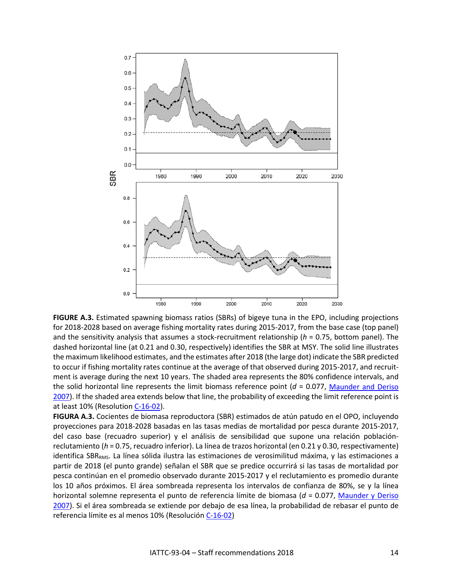

**FIGURE A.3.** Estimated spawning biomass ratios (SBRs) of bigeye tuna in the EPO, including projections for 2018-2028 based on average fishing mortality rates during 2015-2017, from the base case (top panel) and the sensitivity analysis that assumes a stock-recruitment relationship (*h* = 0.75, bottom panel). The dashed horizontal line (at 0.21 and 0.30, respectively) identifies the SBR at MSY. The solid line illustrates the maximum likelihood estimates, and the estimates after 2018 (the large dot) indicate the SBR predicted to occur if fishing mortality rates continue at the average of that observed during 2015-2017, and recruitment is average during the next 10 years. The shaded area represents the 80% confidence intervals, and the solid horizontal line represents the limit biomass reference point (*d* = 0.077, [Maunder and Deriso](https://www.iattc.org/PDFFiles/StockAssessmentReports/_English/SAR8-SKJ-ENG.pdf) [2007\)](https://www.iattc.org/PDFFiles/StockAssessmentReports/_English/SAR8-SKJ-ENG.pdf). If the shaded area extends below that line, the probability of exceeding the limit reference point is at least 10% (Resolution [C-16-02\)](https://www.iattc.org/PDFFiles/Resolutions/_English/C-16-02-Harvest-control-rules.pdf).

**FIGURA A.3.** Cocientes de biomasa reproductora (SBR) estimados de atún patudo en el OPO, incluyendo proyecciones para 2018-2028 basadas en las tasas medias de mortalidad por pesca durante 2015-2017, del caso base (recuadro superior) y el análisis de sensibilidad que supone una relación poblaciónreclutamiento (*h* = 0.75, recuadro inferior). La línea de trazos horizontal (en 0.21 y 0.30, respectivamente) identifica SBR<sub>RMS</sub>. La línea sólida ilustra las estimaciones de verosimilitud máxima, y las estimaciones a partir de 2018 (el punto grande) señalan el SBR que se predice occurrirá si las tasas de mortalidad por pesca continúan en el promedio observado durante 2015-2017 y el reclutamiento es promedio durante los 10 años próximos. El área sombreada representa los intervalos de confianza de 80%, se y la línea horizontal solemne representa el punto de referencia límite de biomasa (*d* = 0.077, [Maunder y Deriso](https://www.iattc.org/PDFFiles/StockAssessmentReports/_Spanish/SAR8-SKJ-SPN.pdf) [2007\)](https://www.iattc.org/PDFFiles/StockAssessmentReports/_Spanish/SAR8-SKJ-SPN.pdf). Si el área sombreada se extiende por debajo de esa línea, la probabilidad de rebasar el punto de referencia límite es al menos 10% (Resolución [C-16-02\)](https://www.iattc.org/PDFFiles/Resolutions/_Spanish/C-16-02-Reglas-de-control-de-extraccion.pdf)